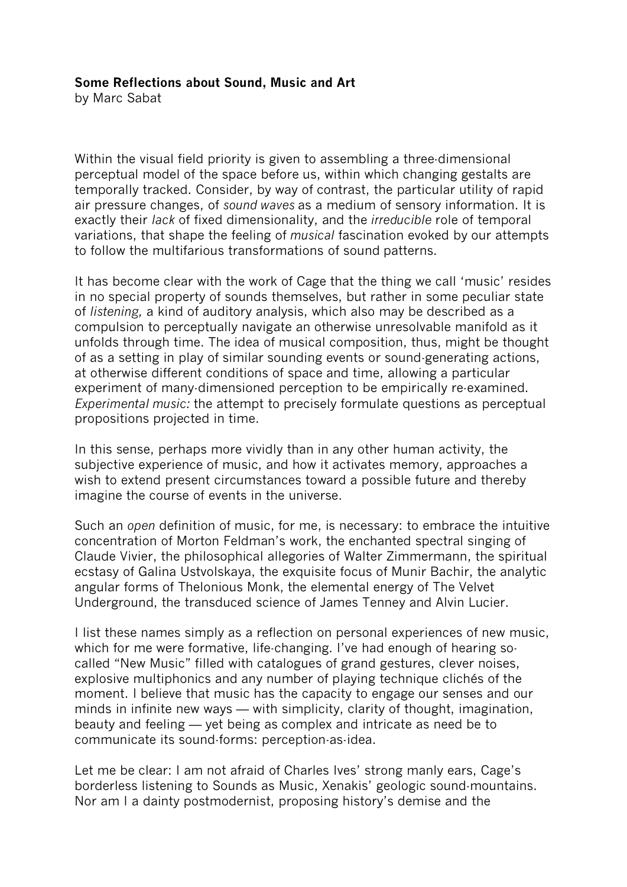## **Some Reflections about Sound, Music and Art**

by Marc Sabat

Within the visual field priority is given to assembling a three-dimensional perceptual model of the space before us, within which changing gestalts are temporally tracked. Consider, by way of contrast, the particular utility of rapid air pressure changes, of *sound waves* as a medium of sensory information. It is exactly their *lack* of fixed dimensionality, and the *irreducible* role of temporal variations, that shape the feeling of *musical* fascination evoked by our attempts to follow the multifarious transformations of sound patterns.

It has become clear with the work of Cage that the thing we call 'music' resides in no special property of sounds themselves, but rather in some peculiar state of *listening,* a kind of auditory analysis, which also may be described as a compulsion to perceptually navigate an otherwise unresolvable manifold as it unfolds through time. The idea of musical composition, thus, might be thought of as a setting in play of similar sounding events or sound-generating actions, at otherwise different conditions of space and time, allowing a particular experiment of many-dimensioned perception to be empirically re-examined. *Experimental music:* the attempt to precisely formulate questions as perceptual propositions projected in time.

In this sense, perhaps more vividly than in any other human activity, the subjective experience of music, and how it activates memory, approaches a wish to extend present circumstances toward a possible future and thereby imagine the course of events in the universe.

Such an *open* definition of music, for me, is necessary: to embrace the intuitive concentration of Morton Feldman's work, the enchanted spectral singing of Claude Vivier, the philosophical allegories of Walter Zimmermann, the spiritual ecstasy of Galina Ustvolskaya, the exquisite focus of Munir Bachir, the analytic angular forms of Thelonious Monk, the elemental energy of The Velvet Underground, the transduced science of James Tenney and Alvin Lucier.

I list these names simply as a reflection on personal experiences of new music, which for me were formative, life-changing. I've had enough of hearing socalled "New Music" filled with catalogues of grand gestures, clever noises, explosive multiphonics and any number of playing technique clichés of the moment. I believe that music has the capacity to engage our senses and our minds in infinite new ways — with simplicity, clarity of thought, imagination, beauty and feeling — yet being as complex and intricate as need be to communicate its sound-forms: perception-as-idea.

Let me be clear: I am not afraid of Charles Ives' strong manly ears, Cage's borderless listening to Sounds as Music, Xenakis' geologic sound-mountains. Nor am I a dainty postmodernist, proposing history's demise and the